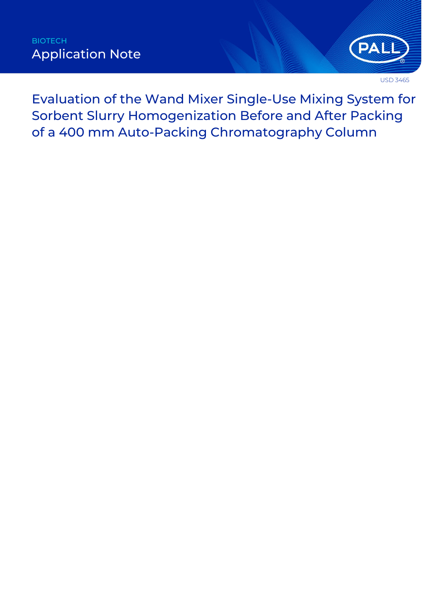

USD 3465

Evaluation of the Wand Mixer Single-Use Mixing System for Sorbent Slurry Homogenization Before and After Packing of a 400 mm Auto-Packing Chromatography Column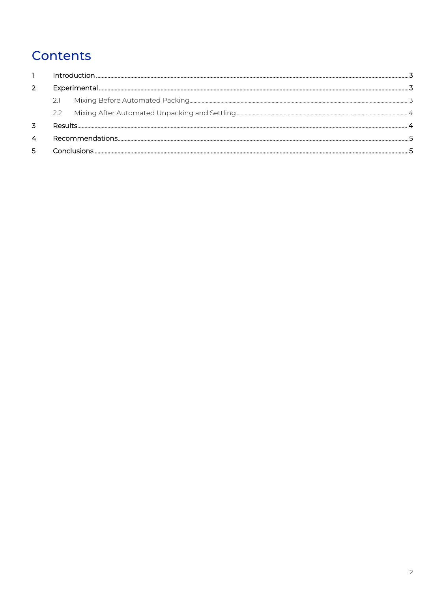# Contents

|   | フフー      |  |  |  |
|---|----------|--|--|--|
|   | Results. |  |  |  |
|   |          |  |  |  |
| 5 |          |  |  |  |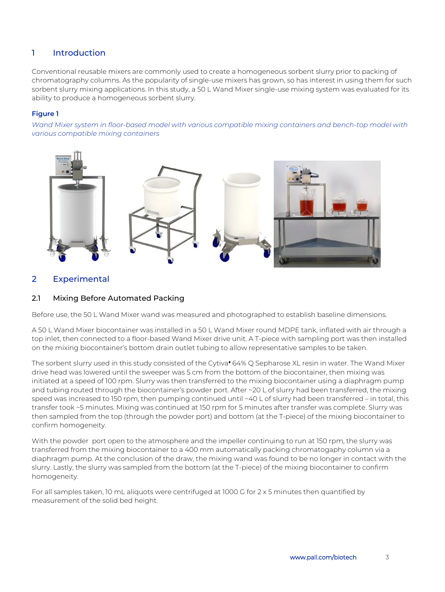## <span id="page-2-0"></span>1 Introduction

Conventional reusable mixers are commonly used to create a homogeneous sorbent slurry prior to packing of chromatography columns. As the popularity of single-use mixers has grown, so has interest in using them for such sorbent slurry mixing applications. In this study, a 50 L Wand Mixer single-use mixing system was evaluated for its ability to produce a homogeneous sorbent slurry.

#### **Figure 1**

*Wand Mixer system in floor-based model with various compatible mixing containers and bench-top model with various compatible mixing containers* 



# <span id="page-2-1"></span>2 Experimental

## <span id="page-2-2"></span>2.1 Mixing Before Automated Packing

Before use, the 50 L Wand Mixer wand was measured and photographed to establish baseline dimensions.

A 50 L Wand Mixer biocontainer was installed in a 50 L Wand Mixer round MDPE tank, inflated with air through a top inlet, then connected to a floor-based Wand Mixer drive unit. A T-piece with sampling port was then installed on the mixing biocontainer's bottom drain outlet tubing to allow representative samples to be taken.

The sorbent slurry used in this study consisted of the Cytiva<sup>•</sup> 64% Q Sepharose XL resin in water. The Wand Mixer drive head was lowered until the sweeper was 5 cm from the bottom of the biocontainer, then mixing was initiated at a speed of 100 rpm. Slurry was then transferred to the mixing biocontainer using a diaphragm pump and tubing routed through the biocontainer's powder port. After ~20 L of slurry had been transferred, the mixing speed was increased to 150 rpm, then pumping continued until ~40 L of slurry had been transferred – in total, this transfer took ~5 minutes. Mixing was continued at 150 rpm for 5 minutes after transfer was complete. Slurry was then sampled from the top (through the powder port) and bottom (at the T-piece) of the mixing biocontainer to confirm homogeneity.

With the powder port open to the atmosphere and the impeller continuing to run at 150 rpm, the slurry was transferred from the mixing biocontainer to a 400 mm automatically packing chromatogaphy column via a diaphragm pump. At the conclusion of the draw, the mixing wand was found to be no longer in contact with the slurry. Lastly, the slurry was sampled from the bottom (at the T-piece) of the mixing biocontainer to confirm homogeneity.

For all samples taken, 10 mL aliquots were centrifuged at 1000 G for 2 x 5 minutes then quantified by measurement of the solid bed height.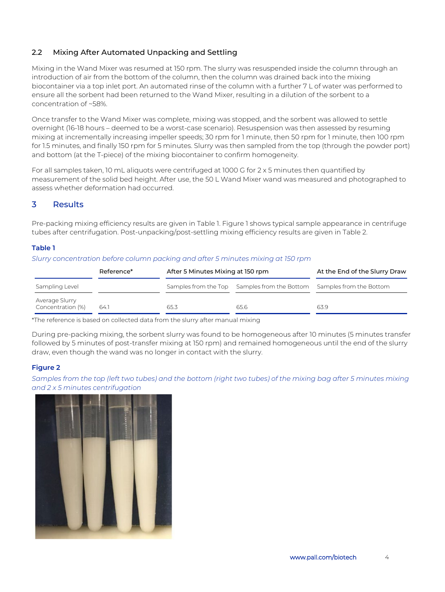## <span id="page-3-0"></span>2.2 Mixing After Automated Unpacking and Settling

Mixing in the Wand Mixer was resumed at 150 rpm. The slurry was resuspended inside the column through an introduction of air from the bottom of the column, then the column was drained back into the mixing biocontainer via a top inlet port. An automated rinse of the column with a further 7 L of water was performed to ensure all the sorbent had been returned to the Wand Mixer, resulting in a dilution of the sorbent to a concentration of ~58%.

Once transfer to the Wand Mixer was complete, mixing was stopped, and the sorbent was allowed to settle overnight (16-18 hours – deemed to be a worst-case scenario). Resuspension was then assessed by resuming mixing at incrementally increasing impeller speeds; 30 rpm for 1 minute, then 50 rpm for 1 minute, then 100 rpm for 1.5 minutes, and finally 150 rpm for 5 minutes. Slurry was then sampled from the top (through the powder port) and bottom (at the T-piece) of the mixing biocontainer to confirm homogeneity.

For all samples taken, 10 mL aliquots were centrifuged at 1000 G for 2 x 5 minutes then quantified by measurement of the solid bed height. After use, the 50 L Wand Mixer wand was measured and photographed to assess whether deformation had occurred.

## <span id="page-3-1"></span>3 Results

Pre-packing mixing efficiency results are given in Table 1. Figure 1 shows typical sample appearance in centrifuge tubes after centrifugation. Post-unpacking/post-settling mixing efficiency results are given in Table 2.

#### **Table 1**

*Slurry concentration before column packing and after 5 minutes mixing at 150 rpm* 

| Reference*                          |      | After 5 Minutes Mixing at 150 rpm |                                                                      | At the End of the Slurry Draw |
|-------------------------------------|------|-----------------------------------|----------------------------------------------------------------------|-------------------------------|
| Sampling Level                      |      |                                   | Samples from the Top Samples from the Bottom Samples from the Bottom |                               |
| Average Slurry<br>Concentration (%) | 64.1 | 65.3                              | 65.6                                                                 | 63.9                          |

\*The reference is based on collected data from the slurry after manual mixing

During pre-packing mixing, the sorbent slurry was found to be homogeneous after 10 minutes (5 minutes transfer followed by 5 minutes of post-transfer mixing at 150 rpm) and remained homogeneous until the end of the slurry draw, even though the wand was no longer in contact with the slurry.

#### **Figure 2**

*Samples from the top (left two tubes) and the bottom (right two tubes) of the mixing bag after 5 minutes mixing and 2 x 5 minutes centrifugation*

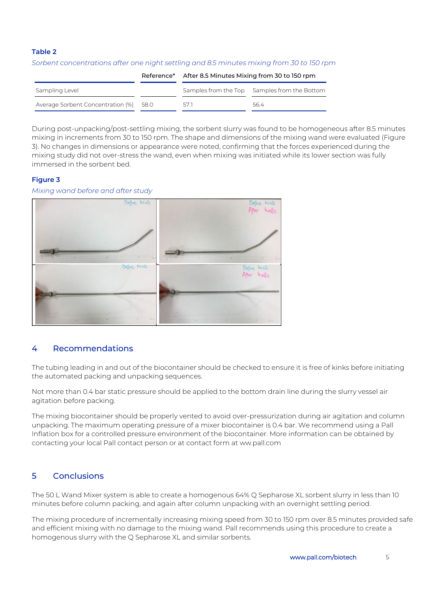#### **Table 2**

|                                        | Reference* | After 8.5 Minutes Mixing from 30 to 150 rpm |                                              |  |
|----------------------------------------|------------|---------------------------------------------|----------------------------------------------|--|
| Sampling Level                         |            |                                             | Samples from the Top Samples from the Bottom |  |
| Average Sorbent Concentration (%) 58.0 |            | 571                                         | 564                                          |  |

*Sorbent concentrations after one night settling and 8.5 minutes mixing from 30 to 150 rpm*

During post-unpacking/post-settling mixing, the sorbent slurry was found to be homogeneous after 8.5 minutes mixing in increments from 30 to 150 rpm. The shape and dimensions of the mixing wand were evaluated [\(Figure](#page-4-2)  [3\)](#page-4-2). No changes in dimensions or appearance were noted, confirming that the forces experienced during the mixing study did not over-stress the wand, even when mixing was initiated while its lower section was fully immersed in the sorbent bed.

### <span id="page-4-2"></span>**Figure 3**

#### *Mixing wand before and after study*



## <span id="page-4-0"></span>4 Recommendations

The tubing leading in and out of the biocontainer should be checked to ensure it is free of kinks before initiating the automated packing and unpacking sequences.

Not more than 0.4 bar static pressure should be applied to the bottom drain line during the slurry vessel air agitation before packing.

The mixing biocontainer should be properly vented to avoid over-pressurization during air agitation and column unpacking. The maximum operating pressure of a mixer biocontainer is 0.4 bar. We recommend using a Pall Inflation box for a controlled pressure environment of the biocontainer. More information can be obtained by contacting your local Pall contact person or at contact form at ww.pall.com

# <span id="page-4-1"></span>5 Conclusions

The 50 L Wand Mixer system is able to create a homogenous 64% Q Sepharose XL sorbent slurry in less than 10 minutes before column packing, and again after column unpacking with an overnight settling period.

The mixing procedure of incrementally increasing mixing speed from 30 to 150 rpm over 8.5 minutes provided safe and efficient mixing with no damage to the mixing wand. Pall recommends using this procedure to create a homogenous slurry with the Q Sepharose XL and similar sorbents.